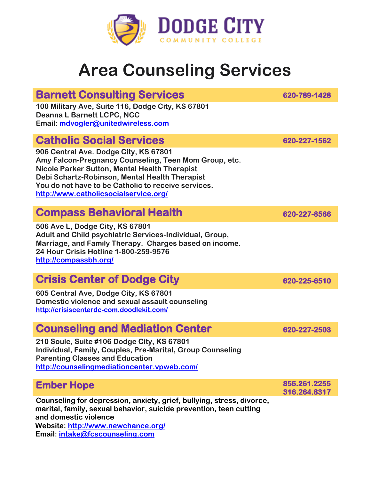

# **Area Counseling Services**

#### **Barnett Consulting Services 620-789-1428**

**100 Military Ave, Suite 116, Dodge City, KS 67801 Deanna L Barnett LCPC, NCC Email: [mdvogler@unitedwireless.com](mailto:mdvogler@unitedwireless.com)**

## **Catholic Social Services 620-227-1562**

**906 Central Ave. Dodge City, KS 67801 Amy Falcon-Pregnancy Counseling, Teen Mom Group, etc. Nicole Parker Sutton, Mental Health Therapist Debi Schartz-Robinson, Mental Health Therapist You do not have to be Catholic to receive services. <http://www.catholicsocialservice.org/>**

### **Compass Behavioral Health 620-227-8566**

**506 Ave L, Dodge City, KS 67801 Adult and Child psychiatric Services-Individual, Group, Marriage, and Family Therapy. Charges based on income. 24 Hour Crisis Hotline 1-800-259-9576 <http://compassbh.org/>**

### **Crisis Center of Dodge City** 620-225-6510

**605 Central Ave, Dodge City, KS 67801 Domestic violence and sexual assault counseling <http://crisiscenterdc-com.doodlekit.com/>**

#### **Counseling and Mediation Center 620-227-2503**

**210 Soule, Suite #106 Dodge City, KS 67801 Individual, Family, Couples, Pre-Marital, Group Counseling Parenting Classes and Education <http://counselingmediationcenter.vpweb.com/>**

#### **Ember Hope**

**Counseling for depression, anxiety, grief, bullying, stress, divorce, marital, family, sexual behavior, suicide prevention, teen cutting and domestic violence Website:<http://www.newchance.org/> Email: [intake@fcscounseling.com](mailto:intake@fcscounseling.com)** 

**855.261.2255 316.264.8317**